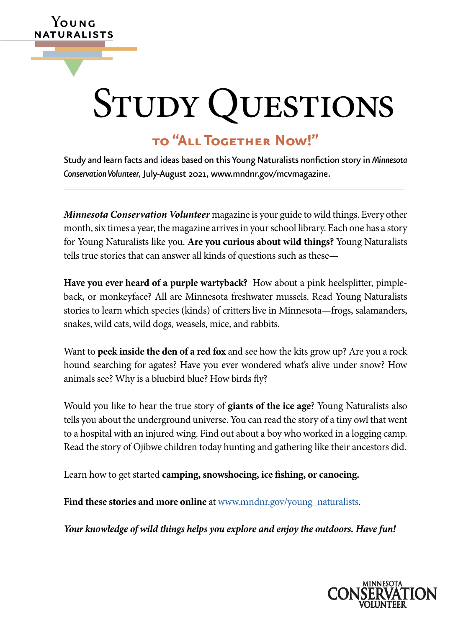# STUDY QUESTIONS

# **to "All Together Now!"**

**Y**oung **ATURALISTS** 

▼

Study and learn facts and ideas based on this Young Naturalists nonfction story in *Minnesota Conservation Volunteer,* July-August 2021, [www.mndnr.gov/mcvmagazine](http://www.mndnr.gov/mcvmagazine).

*Minnesota Conservation Volunteer* magazine is your guide to wild things. Every other month, six times a year, the magazine arrives in your school library. Each one has a story for Young Naturalists like you. **Are you curious about wild things?** Young Naturalists tells true stories that can answer all kinds of questions such as these—

**Have you ever heard of a purple wartyback?** How about a pink heelsplitter, pimpleback, or monkeyface? All are Minnesota freshwater mussels. Read Young Naturalists stories to learn which species (kinds) of critters live in Minnesota—frogs, salamanders, snakes, wild cats, wild dogs, weasels, mice, and rabbits.

Want to **peek inside the den of a red fox** and see how the kits grow up? Are you a rock hound searching for agates? Have you ever wondered what's alive under snow? How animals see? Why is a bluebird blue? How birds fy?

Would you like to hear the true story of **giants of the ice age**? Young Naturalists also tells you about the underground universe. You can read the story of a tiny owl that went to a hospital with an injured wing. Find out about a boy who worked in a logging camp. Read the story of Ojibwe children today hunting and gathering like their ancestors did.

Learn how to get started **camping, snowshoeing, ice fshing, or canoeing.** 

Find these stories and more online at [www.mndnr.gov/young\\_naturalists](http://www.dnr.state.mn.us/mcvmagazine/young-naturalists.html).

*Your knowledge of wild things helps you explore and enjoy the outdoors. Have fun!* 

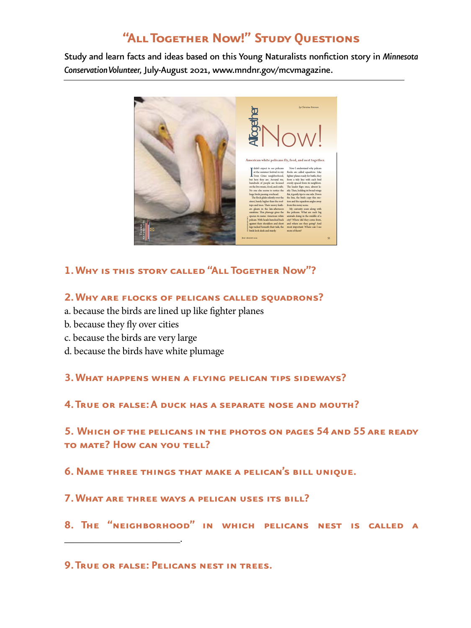# **"All Together Now!" Study Questions**

Study and learn facts and ideas based on this Young Naturalists nonfction story in *Minnesota Conservation Volunteer,* July-August 2021, [www.mndnr.gov/mcvmagazine](http://www.mndnr.gov/mcvmagazine).



**1. Why is this story called "All Together Now"?** 

### **2. WHY ARE FLOCKS OF PELICANS CALLED SQUADRONS?**

- a. because the birds are lined up like fghter planes
- b. because they fy over cities

\_\_\_\_\_\_\_\_\_\_\_\_\_\_\_\_\_\_\_\_\_\_\_.

- c. because the birds are very large
- d. because the birds have white plumage

**3. What happens when a fying pelican tips sideways?** 

**4. TRUE OR FALSE: A DUCK HAS A SEPARATE NOSE AND MOUTH?** 

 **4. True or false: A duck has a separate nose and mouth?<br>5. Which of the pelicans in the photos on pages 54 and 55 are ready to mate? How can you tell?** 

**6.Name three things that make a pelican's bill unique.** 

**7. What are three ways a pelican uses its bill?** 

**8. The "neighborhood" in which pelicans nest is called a** 

**9.True or false: Pelicans nest in trees.**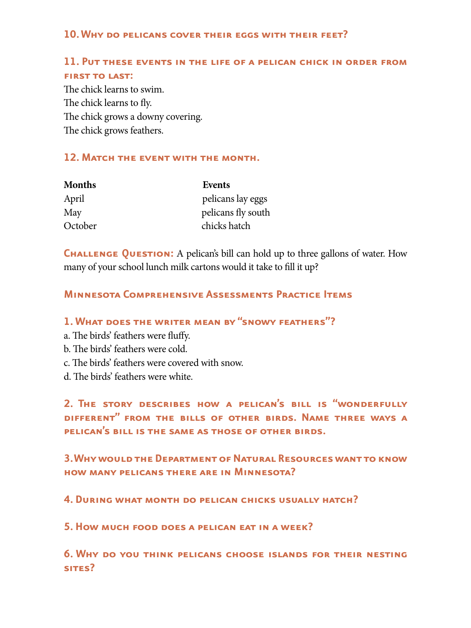#### **10. Why do pelicans cover their eggs with their feet?**

## **11. Put these events in the life of a pelican chick in order from FIRST TO LAST:**

The chick learns to swim. The chick learns to fly. The chick grows a downy covering. The chick grows feathers.

#### **12.Match the event with the month.**

| <b>Months</b> | Events             |
|---------------|--------------------|
| April         | pelicans lay eggs  |
| May           | pelicans fly south |
| October       | chicks hatch       |

**CHALLENGE QUESTION:** A pelican's bill can hold up to three gallons of water. How many of your school lunch milk cartons would it take to fll it up?

### **Minnesota Comprehensive Assessments Practice Items**

## **1. What does the writer mean by "snowy feathers"?**

- a. The birds' feathers were fluffy.
- b. The birds' feathers were cold.
- c. The birds' feathers were covered with snow.
- d. The birds' feathers were white.

**2. The story describes how a pelican's bill is "wonderfully different" from the bills of other birds. Name three ways a pelican's bill is the same as those of other birds.** 

**3.Why would the Department of Natural Resources want to know how many pelicans there are in Minnesota?** 

**4. During what month do pelican chicks usually hatch?** 

**5.How much food does a pelican eat in a week?** 

**6. Why do you think pelicans choose islands for their nesting sites?**